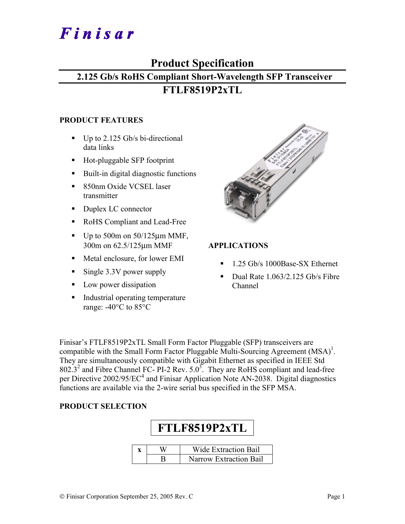# Finisar

# **Product Specification**

# **2.125 Gb/s RoHS Compliant Short-Wavelength SFP Transceiver**

# **FTLF8519P2xTL**

## **PRODUCT FEATURES**

- $\blacksquare$  Up to 2.125 Gb/s bi-directional data links
- Hot-pluggable SFP footprint
- Built-in digital diagnostic functions
- 850nm Oxide VCSEL laser transmitter
- Duplex LC connector
- RoHS Compliant and Lead-Free
- $\blacksquare$  Up to 500m on 50/125 $\mu$ m MMF, 300m on 62.5/125µm MMF
- Metal enclosure, for lower EMI
- Single 3.3V power supply
- **Low power dissipation**
- Industrial operating temperature range: -40°C to 85°C

| ling for the second state of the second state of the second state of the second state of the second state of the second state of the second state of the second state of the second state of the second state of the second st |
|--------------------------------------------------------------------------------------------------------------------------------------------------------------------------------------------------------------------------------|
|                                                                                                                                                                                                                                |
|                                                                                                                                                                                                                                |
|                                                                                                                                                                                                                                |
|                                                                                                                                                                                                                                |
|                                                                                                                                                                                                                                |
|                                                                                                                                                                                                                                |
|                                                                                                                                                                                                                                |
|                                                                                                                                                                                                                                |
|                                                                                                                                                                                                                                |
|                                                                                                                                                                                                                                |
|                                                                                                                                                                                                                                |
|                                                                                                                                                                                                                                |
|                                                                                                                                                                                                                                |
|                                                                                                                                                                                                                                |
|                                                                                                                                                                                                                                |

# **APPLICATIONS**

- <sup>1.25</sup> Gb/s 1000Base-SX Ethernet
- Dual Rate  $1.063/2.125$  Gb/s Fibre Channel

Finisar's FTLF8519P2xTL Small Form Factor Pluggable (SFP) transceivers are compatible with the Small Form Factor Pluggable Multi-Sourcing Agreement  $(MSA)^{1}$ . They are simultaneously compatible with Gigabit Ethernet as specified in IEEE Std  $802.3<sup>2</sup>$  and Fibre Channel FC- PI-2 Rev. 5.0<sup>3</sup>. They are RoHS compliant and lead-free per Directive  $2002/95/EC^4$  and Finisar Application Note AN-2038. Digital diagnostics functions are available via the 2-wire serial bus specified in the SFP MSA.

## **PRODUCT SELECTION**

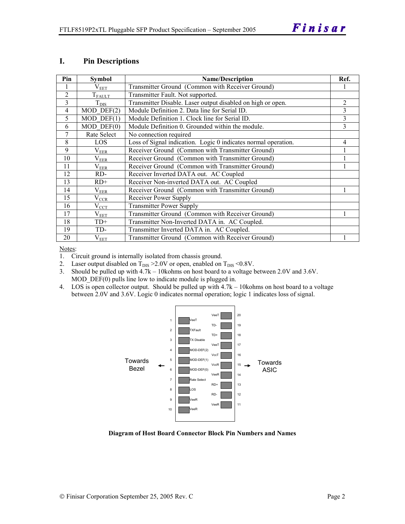#### **I. Pin Descriptions**

| Pin            | Symbol                            | <b>Name/Description</b>                                        | Ref.           |
|----------------|-----------------------------------|----------------------------------------------------------------|----------------|
|                | $V_{E\underline{E}\underline{T}}$ | Transmitter Ground (Common with Receiver Ground)               |                |
| $\overline{2}$ | $T_{FAULT}$                       | Transmitter Fault. Not supported.                              |                |
| 3              | $T_{\text{DIS}}$                  | Transmitter Disable. Laser output disabled on high or open.    | $\overline{2}$ |
| 4              | $MOD$ DEF $(2)$                   | Module Definition 2. Data line for Serial ID.                  | 3              |
| 5              | $MOD$ DEF $(1)$                   | Module Definition 1. Clock line for Serial ID.                 | 3              |
| 6              | $MOD$ $DEF(0)$                    | Module Definition 0. Grounded within the module.               | 3              |
| 7              | Rate Select                       | No connection required                                         |                |
| 8              | LOS.                              | Loss of Signal indication. Logic 0 indicates normal operation. | 4              |
| 9              | $\rm V_{EER}$                     | Receiver Ground (Common with Transmitter Ground)               |                |
| 10             | $\rm V_{EER}$                     | Receiver Ground (Common with Transmitter Ground)               |                |
| 11             | $\rm V_{EER}$                     | Receiver Ground (Common with Transmitter Ground)               |                |
| 12             | RD-                               | Receiver Inverted DATA out. AC Coupled                         |                |
| 13             | $RD+$                             | Receiver Non-inverted DATA out. AC Coupled                     |                |
| 14             | $\rm V_{EER}$                     | Receiver Ground (Common with Transmitter Ground)               |                |
| 15             | $V_{CR}$                          | Receiver Power Supply                                          |                |
| 16             | $V_{\rm CCT}$                     | <b>Transmitter Power Supply</b>                                |                |
| 17             | $\rm V_{EET}$                     | Transmitter Ground (Common with Receiver Ground)               |                |
| 18             | $TD+$                             | Transmitter Non-Inverted DATA in. AC Coupled.                  |                |
| 19             | TD-                               | Transmitter Inverted DATA in. AC Coupled.                      |                |
| 20             | $V_{EET}$                         | Transmitter Ground (Common with Receiver Ground)               |                |

Notes:

1. Circuit ground is internally isolated from chassis ground.

2. Laser output disabled on  $T_{DIS} > 2.0V$  or open, enabled on  $T_{DIS} < 0.8V$ .

3. Should be pulled up with 4.7k – 10kohms on host board to a voltage between 2.0V and 3.6V. MOD  $DEF(0)$  pulls line low to indicate module is plugged in.

4. LOS is open collector output. Should be pulled up with 4.7k – 10kohms on host board to a voltage between 2.0V and 3.6V. Logic 0 indicates normal operation; logic 1 indicates loss of signal.



**Diagram of Host Board Connector Block Pin Numbers and Names**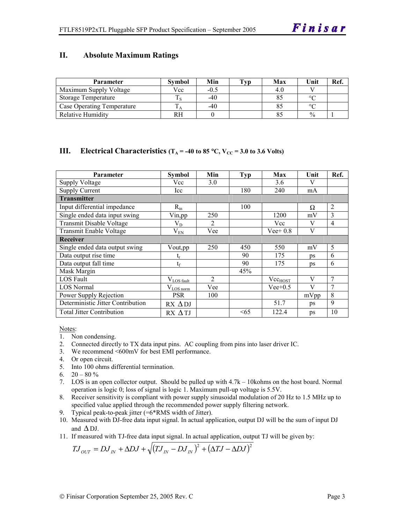#### **II. Absolute Maximum Ratings**

| <b>Parameter</b>           | Svmbol | Min    | Typ | Max | Unit          | Ref. |
|----------------------------|--------|--------|-----|-----|---------------|------|
| Maximum Supply Voltage     | Vcc    | $-0.5$ |     |     |               |      |
| Storage Temperature        |        | -40    |     |     | $\circ$       |      |
| Case Operating Temperature |        | $-40$  |     |     | $\circ$       |      |
| <b>Relative Humidity</b>   | RН     |        |     |     | $\frac{0}{0}$ |      |

## **III.** Electrical Characteristics ( $T_A = -40$  to 85 °C,  $V_{CC} = 3.0$  to 3.6 Volts)

| <b>Parameter</b>                  | Symbol                  | Min            | Typ | Max          | Unit | Ref.           |
|-----------------------------------|-------------------------|----------------|-----|--------------|------|----------------|
| <b>Supply Voltage</b>             | Vcc                     | 3.0            |     | 3.6          | V    |                |
| <b>Supply Current</b>             | Icc                     |                | 180 | 240          | mA   |                |
| <b>Transmitter</b>                |                         |                |     |              |      |                |
| Input differential impedance      | $R_{in}$                |                | 100 |              | Ω    | $\overline{2}$ |
| Single ended data input swing     | Vin, pp                 | 250            |     | 1200         | mV   | 3              |
| Transmit Disable Voltage          | $\rm V_{D}$             | 2              |     | Vcc          | V    | $\overline{4}$ |
| <b>Transmit Enable Voltage</b>    | $V_{EN}$                | Vee            |     | $Vee+0.8$    | V    |                |
| <b>Receiver</b>                   |                         |                |     |              |      |                |
| Single ended data output swing    | Vout, pp                | 250            | 450 | 550          | mV   | 5              |
| Data output rise time             | ւ                       |                | 90  | 175          | ps   | 6              |
| Data output fall time             | $t_{\rm f}$             |                | 90  | 175          | ps   | 6              |
| Mask Margin                       |                         |                | 45% |              |      |                |
| LOS Fault                         | $V_{LOS \frac{fault}{}$ | $\overline{2}$ |     | $Vec_{HOST}$ | V    | 7              |
| <b>LOS</b> Normal                 | $V_{LOS\, norm}$        | Vee            |     | $Vee+0.5$    | V    | 7              |
| Power Supply Rejection            | <b>PSR</b>              | 100            |     |              | mVpp | 8              |
| Deterministic Jitter Contribution | $RX \Delta DJ$          |                |     | 51.7         | ps   | 9              |
| <b>Total Jitter Contribution</b>  | $RX \Delta TI$          |                | <65 | 122.4        | ps   | 10             |

Notes:

- 1. Non condensing.
- 2. Connected directly to TX data input pins. AC coupling from pins into laser driver IC.
- 3. We recommend <600mV for best EMI performance.
- 4. Or open circuit.
- 5. Into 100 ohms differential termination.
- 6.  $20 80 \%$
- 7. LOS is an open collector output. Should be pulled up with 4.7k 10kohms on the host board. Normal operation is logic 0; loss of signal is logic 1. Maximum pull-up voltage is 5.5V.
- 8. Receiver sensitivity is compliant with power supply sinusoidal modulation of 20 Hz to 1.5 MHz up to specified value applied through the recommended power supply filtering network.
- 9. Typical peak-to-peak jitter (=6\*RMS width of Jitter).
- 10. Measured with DJ-free data input signal. In actual application, output DJ will be the sum of input DJ and  $\Delta$  DJ.
- 11. If measured with TJ-free data input signal. In actual application, output TJ will be given by:

$$
T J_{OUT} = D J_{IN} + \Delta D J + \sqrt{(T J_{IN} - D J_{IN})^2 + (\Delta T J - \Delta D J)^2}
$$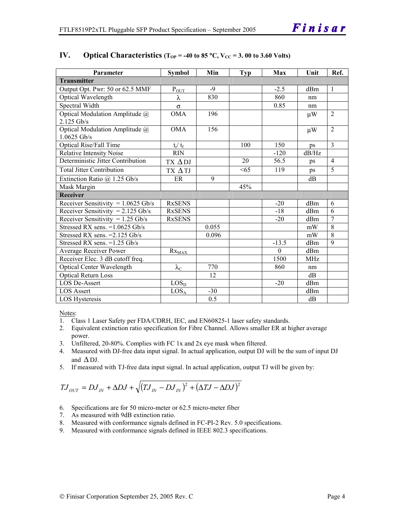| Parameter                                       | <b>Symbol</b>        | Min   | <b>Typ</b> | Max      | Unit            | Ref.           |
|-------------------------------------------------|----------------------|-------|------------|----------|-----------------|----------------|
| <b>Transmitter</b>                              |                      |       |            |          |                 |                |
| Output Opt. Pwr: 50 or 62.5 MMF                 | $P_{OUT}$            | $-9$  |            | $-2.5$   | dBm             | $\mathbf{1}$   |
| Optical Wavelength                              | λ                    | 830   |            | 860      | nm              |                |
| Spectral Width                                  | $\sigma$             |       |            | 0.85     | nm              |                |
| Optical Modulation Amplitude @<br>$2.125$ Gb/s  | <b>OMA</b>           | 196   |            |          | $\mu$ W         | $\overline{2}$ |
| Optical Modulation Amplitude @<br>$1.0625$ Gb/s | <b>OMA</b>           | 156   |            |          | $\mu$ W         | $\overline{2}$ |
| <b>Optical Rise/Fall Time</b>                   | $t_r/ t_f$           |       | 100        | 150      | ps              | $\overline{3}$ |
| <b>Relative Intensity Noise</b>                 | <b>RIN</b>           |       |            | $-120$   | dB/Hz           |                |
| Deterministic Jitter Contribution               | $TX \Delta DJ$       |       | 20         | 56.5     | ps              | $\overline{4}$ |
| <b>Total Jitter Contribution</b>                | TX ΔTJ               |       | <65        | 119      | ps              | $\overline{5}$ |
| Extinction Ratio $@$ 1.25 Gb/s                  | ER                   | 9     |            |          | dB              |                |
| Mask Margin                                     |                      |       | 45%        |          |                 |                |
| <b>Receiver</b>                                 |                      |       |            |          |                 |                |
| Receiver Sensitivity = $1.0625$ Gb/s            | <b>RxSENS</b>        |       |            | $-20$    | dBm             | 6              |
| Receiver Sensitivity = $2.125$ Gb/s             | <b>RxSENS</b>        |       |            | $-18$    | dBm             | 6              |
| Receiver Sensitivity = $1.25$ Gb/s              | <b>RxSENS</b>        |       |            | $-20$    | dBm             | $\overline{7}$ |
| Stressed RX sens. = 1.0625 Gb/s                 |                      | 0.055 |            |          | mW              | 8              |
| Stressed RX sens. $=2.125$ Gb/s                 |                      | 0.096 |            |          | mW              | $\overline{8}$ |
| Stressed RX sens. = 1.25 Gb/s                   |                      |       |            | $-13.5$  | dBm             | 9              |
| Average Receiver Power                          | $Rx_{MAX}$           |       |            | $\Omega$ | d <sub>Bm</sub> |                |
| Receiver Elec. 3 dB cutoff freq.                |                      |       |            | 1500     | <b>MHz</b>      |                |
| <b>Optical Center Wavelength</b>                | $\lambda_{\text{C}}$ | 770   |            | 860      | nm              |                |
| <b>Optical Return Loss</b>                      |                      | 12    |            |          | dB              |                |
| <b>LOS De-Assert</b>                            | LOS <sub>D</sub>     |       |            | $-20$    | dBm             |                |
| <b>LOS Assert</b>                               | LOS <sub>A</sub>     | $-30$ |            |          | dBm             |                |
| <b>LOS Hysteresis</b>                           |                      | 0.5   |            |          | dB              |                |

#### IV. Optical Characteristics ( $T_{OP}$  = -40 to 85 °C,  $V_{CC}$  = 3.00 to 3.60 Volts)

Notes:

- 1. Class 1 Laser Safety per FDA/CDRH, IEC, and EN60825-1 laser safety standards.
- 2. Equivalent extinction ratio specification for Fibre Channel. Allows smaller ER at higher average power.
- 3. Unfiltered, 20-80%. Complies with FC 1x and 2x eye mask when filtered.
- 4. Measured with DJ-free data input signal. In actual application, output DJ will be the sum of input DJ and  $\Delta$  DJ.
- 5. If measured with TJ-free data input signal. In actual application, output TJ will be given by:

$$
T J_{OUT} = D J_{IN} + \Delta D J + \sqrt{(T J_{IN} - D J_{IN})^2 + (\Delta T J - \Delta D J)^2}
$$

- 6. Specifications are for 50 micro-meter or 62.5 micro-meter fiber
- 7. As measured with 9dB extinction ratio.
- 8. Measured with conformance signals defined in FC-PI-2 Rev. 5.0 specifications.
- 9. Measured with conformance signals defined in IEEE 802.3 specifications.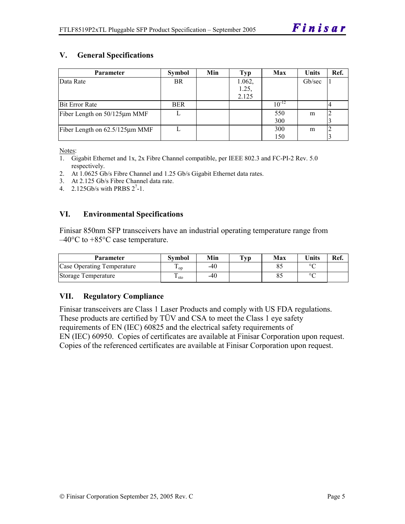# **V. General Specifications**

| <b>Parameter</b>                     | <b>Symbol</b> | Min | Typ    | Max        | <b>Units</b> | Ref. |
|--------------------------------------|---------------|-----|--------|------------|--------------|------|
| Data Rate                            | <b>BR</b>     |     | 1.062, |            | Gb/sec       |      |
|                                      |               |     | 1.25   |            |              |      |
|                                      |               |     | 2.125  |            |              |      |
| <b>Bit Error Rate</b>                | <b>BER</b>    |     |        | $10^{-12}$ |              |      |
| Fiber Length on 50/125µm MMF         |               |     |        | 550        | m            |      |
|                                      |               |     |        | 300        |              |      |
| Fiber Length on $62.5/125 \mu m$ MMF |               |     |        | 300        | m            |      |
|                                      |               |     |        | 150        |              |      |

Notes:

- 1. Gigabit Ethernet and 1x, 2x Fibre Channel compatible, per IEEE 802.3 and FC-PI-2 Rev. 5.0 respectively.
- 2. At 1.0625 Gb/s Fibre Channel and 1.25 Gb/s Gigabit Ethernet data rates.
- 3. At 2.125 Gb/s Fibre Channel data rate.
- 4.  $2.125Gb/s$  with PRBS  $2^7-1$ .

#### **VI. Environmental Specifications**

Finisar 850nm SFP transceivers have an industrial operating temperature range from –40°C to +85°C case temperature.

| <b>Parameter</b>           | Svmbol          | Min | $\mathbf{T}_{\mathbf{V}\mathbf{p}}$ | Max | <b>Units</b> | Ref. |
|----------------------------|-----------------|-----|-------------------------------------|-----|--------------|------|
| Case Operating Temperature | $\mathbf{1}$ op | -40 |                                     |     | $\sim$       |      |
| Storage Temperature        | ⊥ sto           | -40 |                                     |     | $\circ$      |      |

#### **VII. Regulatory Compliance**

Finisar transceivers are Class 1 Laser Products and comply with US FDA regulations. These products are certified by TÜV and CSA to meet the Class 1 eye safety requirements of EN (IEC) 60825 and the electrical safety requirements of EN (IEC) 60950. Copies of certificates are available at Finisar Corporation upon request. Copies of the referenced certificates are available at Finisar Corporation upon request.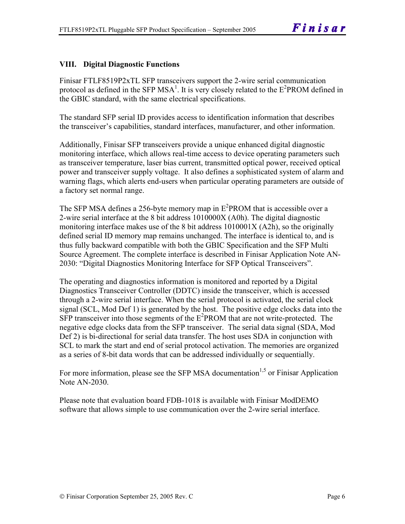# **VIII. Digital Diagnostic Functions**

Finisar FTLF8519P2xTL SFP transceivers support the 2-wire serial communication protocol as defined in the SFP MSA<sup>1</sup>. It is very closely related to the  $E^2$ PROM defined in the GBIC standard, with the same electrical specifications.

The standard SFP serial ID provides access to identification information that describes the transceiver's capabilities, standard interfaces, manufacturer, and other information.

Additionally, Finisar SFP transceivers provide a unique enhanced digital diagnostic monitoring interface, which allows real-time access to device operating parameters such as transceiver temperature, laser bias current, transmitted optical power, received optical power and transceiver supply voltage. It also defines a sophisticated system of alarm and warning flags, which alerts end-users when particular operating parameters are outside of a factory set normal range.

The SFP MSA defines a 256-byte memory map in  $E^2$ PROM that is accessible over a 2-wire serial interface at the 8 bit address 1010000X (A0h). The digital diagnostic monitoring interface makes use of the 8 bit address 1010001X (A2h), so the originally defined serial ID memory map remains unchanged. The interface is identical to, and is thus fully backward compatible with both the GBIC Specification and the SFP Multi Source Agreement. The complete interface is described in Finisar Application Note AN-2030: "Digital Diagnostics Monitoring Interface for SFP Optical Transceivers".

The operating and diagnostics information is monitored and reported by a Digital Diagnostics Transceiver Controller (DDTC) inside the transceiver, which is accessed through a 2-wire serial interface. When the serial protocol is activated, the serial clock signal (SCL, Mod Def 1) is generated by the host. The positive edge clocks data into the  $SFP$  transceiver into those segments of the  $E^2$ PROM that are not write-protected. The negative edge clocks data from the SFP transceiver. The serial data signal (SDA, Mod Def 2) is bi-directional for serial data transfer. The host uses SDA in conjunction with SCL to mark the start and end of serial protocol activation. The memories are organized as a series of 8-bit data words that can be addressed individually or sequentially.

For more information, please see the SFP MSA documentation<sup>1,5</sup> or Finisar Application Note AN-2030.

Please note that evaluation board FDB-1018 is available with Finisar ModDEMO software that allows simple to use communication over the 2-wire serial interface.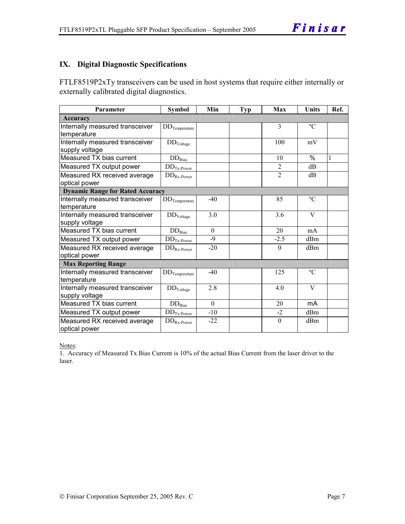# **IX. Digital Diagnostic Specifications**

FTLF8519P2xTy transceivers can be used in host systems that require either internally or externally calibrated digital diagnostics.

| Parameter                                         | <b>Symbol</b>            | Min          | <b>Typ</b> | Max            | Units         | Ref. |
|---------------------------------------------------|--------------------------|--------------|------------|----------------|---------------|------|
| Accuracy                                          |                          |              |            |                |               |      |
| Internally measured transceiver                   | $DD$ Temperature         |              |            | $\overline{3}$ | $\rm ^{o}C$   |      |
| temperature                                       |                          |              |            |                |               |      |
| Internally measured transceiver<br>supply voltage | $\rm{DD}_{\rm{Voltage}}$ |              |            | 100            | mV            |      |
| Measured TX bias current                          | $\rm{DD}_{\rm{Bias}}$    |              |            | 10             | $\frac{0}{0}$ | 1    |
| Measured TX output power                          | $DDTx-Power$             |              |            | $\overline{2}$ | dB            |      |
| Measured RX received average                      | $DD_{Rx\text{-}Power}$   |              |            | $\overline{2}$ | dB            |      |
| optical power                                     |                          |              |            |                |               |      |
| <b>Dynamic Range for Rated Accuracy</b>           |                          |              |            |                |               |      |
| Internally measured transceiver<br>temperature    | $DD$ Temperature         | $-40$        |            | 85             | $\rm ^{o}C$   |      |
| Internally measured transceiver<br>supply voltage | DD <sub>Voltage</sub>    | 3.0          |            | 3.6            | V             |      |
| Measured TX bias current                          | $DD_{\rm Bias}$          | $\mathbf{0}$ |            | 20             | mA            |      |
| Measured TX output power                          | $DDTx-Power$             | $-9$         |            | $-2.5$         | dBm           |      |
| Measured RX received average<br>optical power     | $DD_{Rx\text{-}Power}$   | $-20$        |            | $\Omega$       | dBm           |      |
| <b>Max Reporting Range</b>                        |                          |              |            |                |               |      |
| Internally measured transceiver<br>temperature    | $DD$ Temperature         | $-40$        |            | 125            | $\rm ^{o}C$   |      |
| Internally measured transceiver<br>supply voltage | DD <sub>Voltage</sub>    | 2.8          |            | 4.0            | V             |      |
| Measured TX bias current                          | $DD_{\rm Bias}$          | $\theta$     |            | 20             | mA            |      |
| Measured TX output power                          | $DDTx-Power$             | $-10$        |            | $-2$           | dBm           |      |
| Measured RX received average<br>optical power     | $DD_{Rx\text{-}Power}$   | $-22$        |            | $\theta$       | dBm           |      |

Notes:

1. Accuracy of Measured Tx Bias Current is 10% of the actual Bias Current from the laser driver to the laser.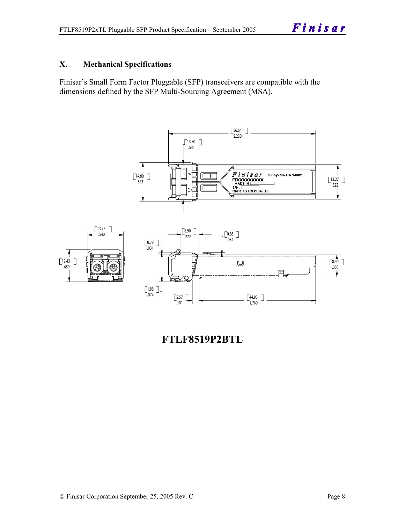## **X. Mechanical Specifications**

Finisar's Small Form Factor Pluggable (SFP) transceivers are compatible with the dimensions defined by the SFP Multi-Sourcing Agreement (MSA).



**FTLF8519P2BTL**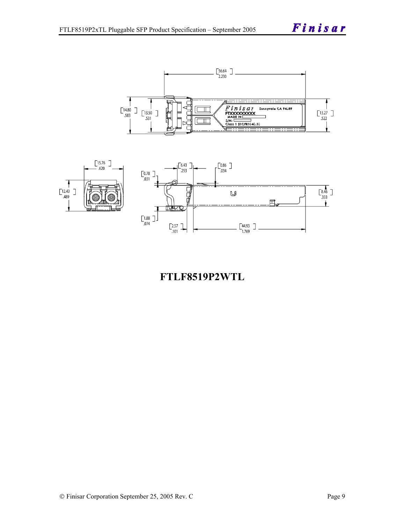Finisar





# **FTLF8519P2WTL**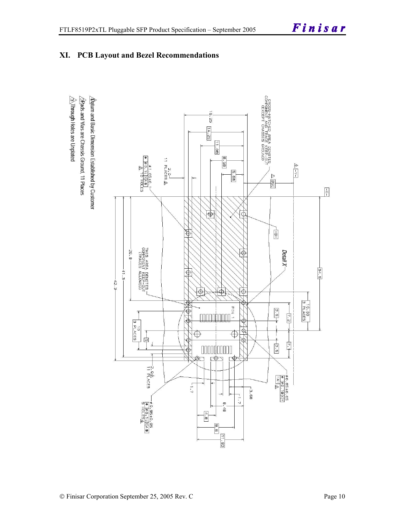

# **XI. PCB Layout and Bezel Recommendations**

 $\hat{\triangle}$ Through Holes are Unplated  $\sqrt{2}$ Rads and Vias are Chassis Ground, 11 Places  $\Delta$  for and Basic Dimension Established by Customer

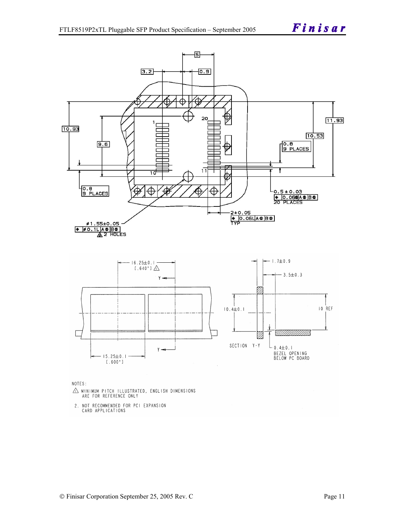

NOTES:

- $\triangle$  MINIMUM PITCH ILLUSTRATED, ENGLISH DIMENSIONS ARE FOR REFERENCE ONLY
- 2. NOT RECOMMENDED FOR PCI EXPANSION CARD APPLICATIONS